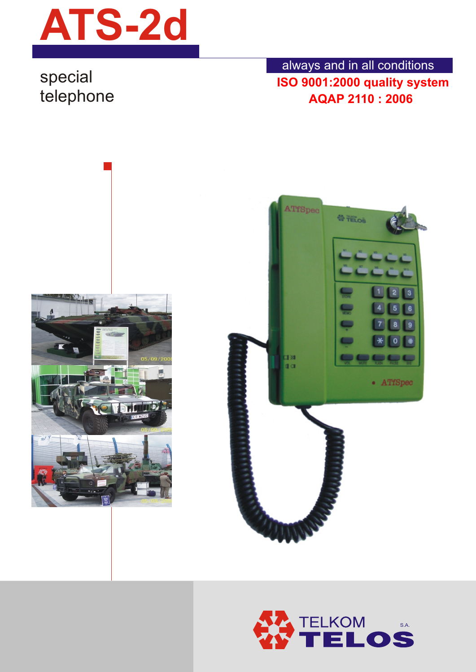

## special

telephone **AQAP 2110 : 2006** always and in all conditions **ISO 9001:2000 quality system**